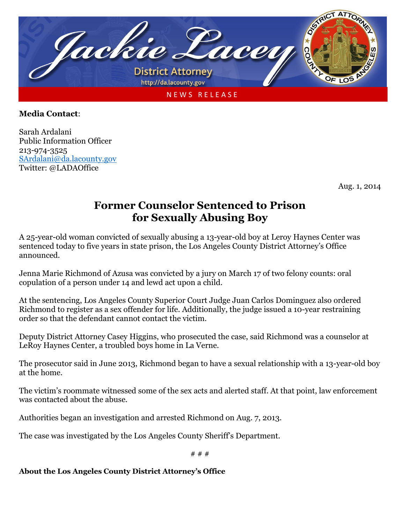

## **Media Contact**:

Sarah Ardalani Public Information Officer 213-974-3525 [SArdalani@da.lacounty.gov](mailto:SArdalani@da.lacounty.gov) Twitter: @LADAOffice

Aug. 1, 2014

## **Former Counselor Sentenced to Prison for Sexually Abusing Boy**

A 25-year-old woman convicted of sexually abusing a 13-year-old boy at Leroy Haynes Center was sentenced today to five years in state prison, the Los Angeles County District Attorney's Office announced.

Jenna Marie Richmond of Azusa was convicted by a jury on March 17 of two felony counts: oral copulation of a person under 14 and lewd act upon a child.

At the sentencing, Los Angeles County Superior Court Judge Juan Carlos Dominguez also ordered Richmond to register as a sex offender for life. Additionally, the judge issued a 10-year restraining order so that the defendant cannot contact the victim.

Deputy District Attorney Casey Higgins, who prosecuted the case, said Richmond was a counselor at LeRoy Haynes Center, a troubled boys home in La Verne.

The prosecutor said in June 2013, Richmond began to have a sexual relationship with a 13-year-old boy at the home.

The victim's roommate witnessed some of the sex acts and alerted staff. At that point, law enforcement was contacted about the abuse.

Authorities began an investigation and arrested Richmond on Aug. 7, 2013.

The case was investigated by the Los Angeles County Sheriff's Department.

# # #

## **About the Los Angeles County District Attorney's Office**